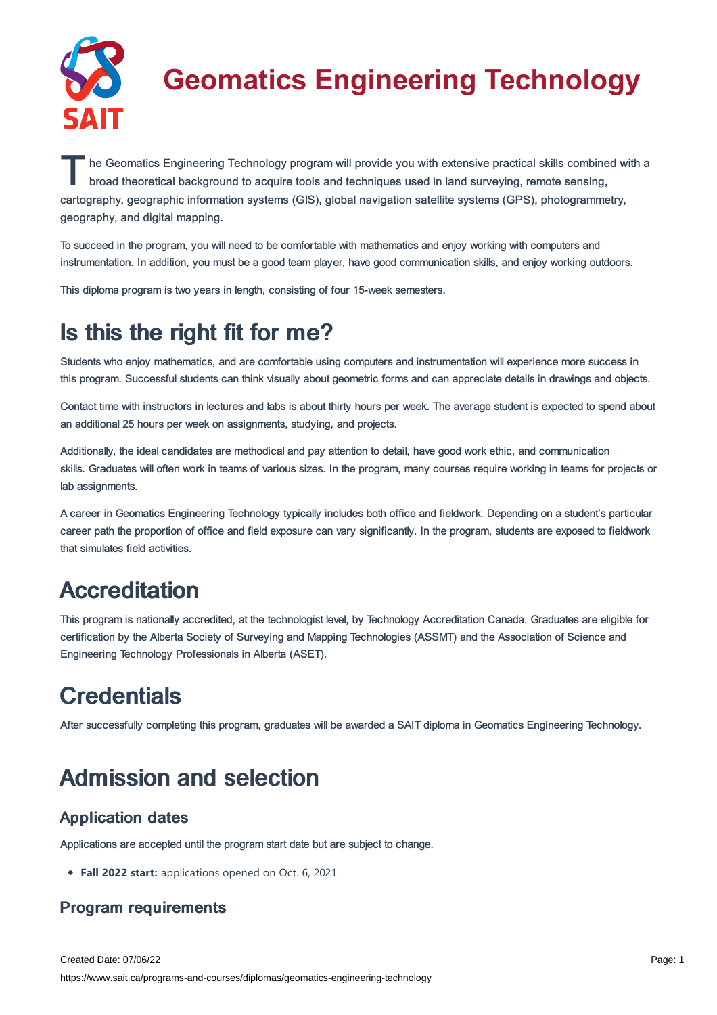

# **Geomatics Engineering Technology**

The Geomatics Engineering Technology program will provide you with extensive practical skills combined with a<br>broad theoretical background to acquire tools and techniques used in land surveying, remote sensing, broad theoretical background to acquire tools and techniques used in land surveying, remote sensing, cartography, geographic information systems (GIS), global navigation satellite systems (GPS), photogrammetry, geography, and digital mapping.

To succeed in the program, you will need to be comfortable with mathematics and enjoy working with computers and instrumentation. In addition, you must be a good team player, have good communication skills, and enjoy working outdoors.

This diploma program is two years in length, consisting of four 15-week semesters.

## Is this the right fit for me?

Students who enjoy mathematics, and are comfortable using computers and instrumentation will experience more success in this program. Successful students can think visually about geometric forms and can appreciate details in drawings and objects.

Contact time with instructors in lectures and labs is about thirty hours per week. The average student is expected to spend about an additional 25 hours per week on assignments, studying, and projects.

Additionally, the ideal candidates are methodical and pay attention to detail, have good work ethic, and communication skills. Graduates will often work in teams of various sizes. In the program, many courses require working in teams for projects or lab assignments.

A career in Geomatics Engineering Technology typically includes both office and fieldwork. Depending on a student's particular career path the proportion of office and field exposure can vary significantly. In the program, students are exposed to fieldwork that simulates field activities.

## **Accreditation**

This program is nationally accredited, at the technologist level, by Technology Accreditation Canada. Graduates are eligible for certification by the Alberta Society of Surveying and Mapping Technologies (ASSMT) and the Association of Science and Engineering Technology Professionals in Alberta (ASET).

# **Credentials**

After successfully completing this program, graduates will be awarded a SAIT diploma in Geomatics Engineering Technology.

## Admission and selection

### Application dates

Applications are accepted until the program start date but are subject to change.

**Fall 2022 start:** applications opened on Oct. 6, 2021.

### Program requirements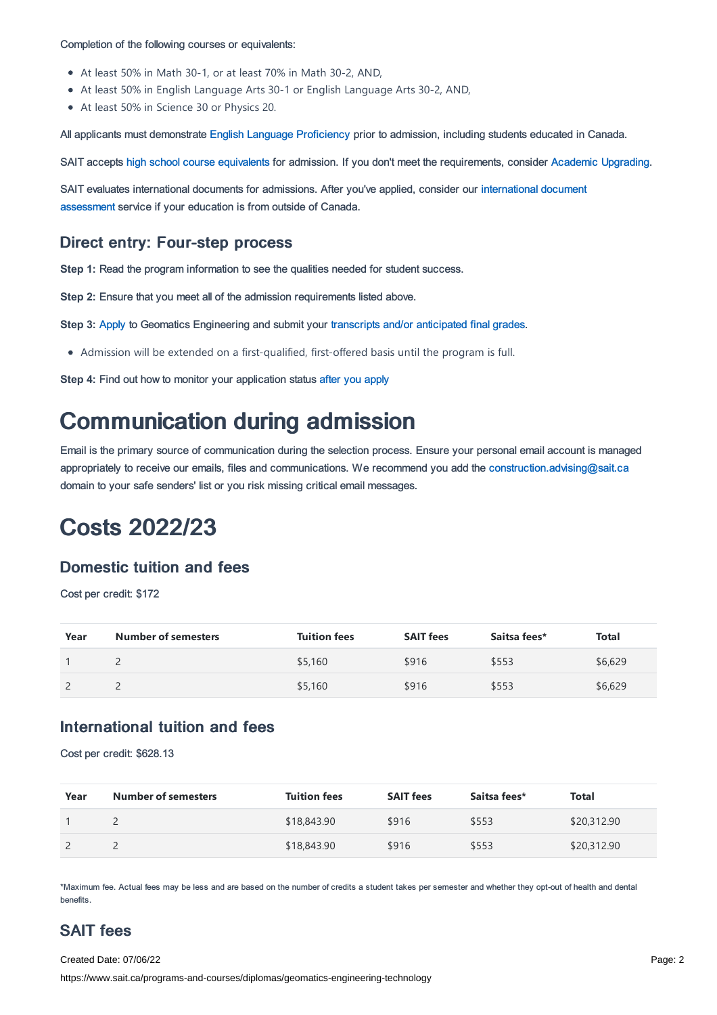#### Completion of the following courses or equivalents:

- At least 50% in Math 30-1, or at least 70% in Math 30-2, AND,
- At least 50% in English Language Arts 30-1 or English Language Arts 30-2, AND,
- At least 50% in Science 30 or Physics 20.

All applicants must demonstrate English Language [Proficiency](https://www.sait.ca/admissions/before-you-apply/english-proficiency) prior to admission, including students educated in Canada.

SAIT accepts high school course [equivalents](https://www.sait.ca/admissions/before-you-apply/high-school-course-equivalencies) for admission. If you don't meet the requirements, consider Academic [Upgrading.](https://www.sait.ca/programs-and-courses/academic-upgrading)

SAIT evaluates [international](https://www.sait.ca/admissions/after-you-apply/international-document-assessment) documents for admissions. After you've applied, consider our international document assessment service if your education is from outside of Canada.

### Direct entry: Four-step process

**Step 1:** Read the program information to see the qualities needed for student success.

**Step 2:** Ensure that you meet all of the admission requirements listed above.

**Step 3:** [Apply](https://www.sait.ca/admissions/apply) to Geomatics Engineering and submit your transcripts and/or [anticipated](https://www.sait.ca/admissions/after-you-apply/transcripts-and-supporting-documents) final grades.

Admission will be extended on a first-qualified, first-offered basis until the program is full.

**Step 4:** Find out how to monitor your application status after you [apply](https://www.sait.ca/admissions/after-you-apply/tracking-your-application)

### Communication during admission

Email is the primary source of communication during the selection process. Ensure your personal email account is managed appropriately to receive our emails, files and communications. We recommend you add the [construction.advising@sait.ca](https://sait.camailto:business.advising@sait.ca) domain to your safe senders' list or you risk missing critical email messages.

### Costs 2022/23

### Domestic tuition and fees

Cost per credit: \$172

| Year | <b>Number of semesters</b> | <b>Tuition fees</b> | <b>SAIT fees</b> | Saitsa fees* | Total   |
|------|----------------------------|---------------------|------------------|--------------|---------|
|      |                            | \$5,160             | \$916            | \$553        | \$6,629 |
|      |                            | \$5,160             | \$916            | \$553        | \$6,629 |

#### International tuition and fees

Cost per credit: \$628.13

| Year | Number of semesters | <b>Tuition fees</b> | <b>SAIT fees</b> | Saitsa fees* | Total       |
|------|---------------------|---------------------|------------------|--------------|-------------|
|      |                     | \$18,843.90         | \$916            | \$553        | \$20,312.90 |
|      |                     | \$18,843.90         | \$916            | \$553        | \$20,312.90 |

\*Maximum fee. Actual fees may be less and are based on the number of credits a student takes per semester and whether they opt-out of health and dental benefits.

### SAIT fees

Created Date: 07/06/22

https://www.sait.ca/programs-and-courses/diplomas/geomatics-engineering-technology